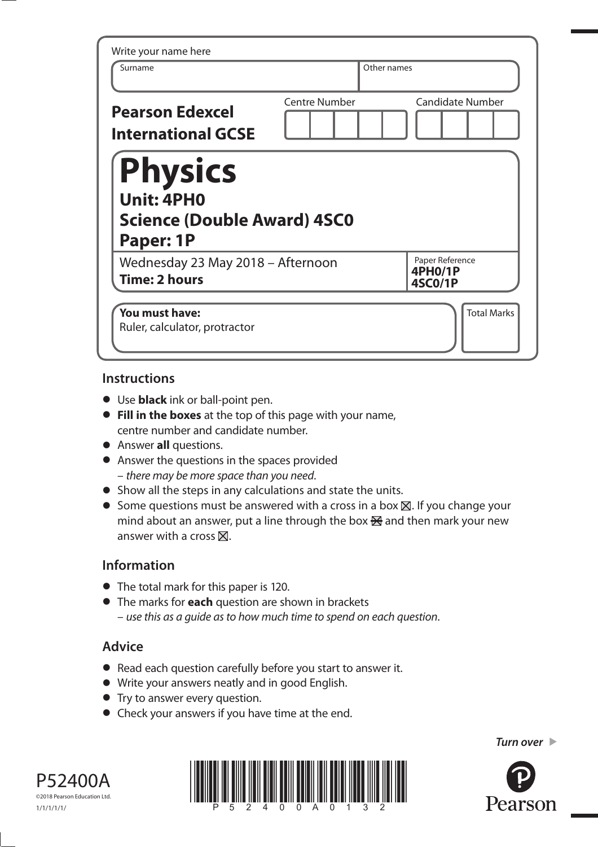| Surname                                                              | Other names          |                                                     |
|----------------------------------------------------------------------|----------------------|-----------------------------------------------------|
| <b>Pearson Edexcel</b><br><b>International GCSE</b>                  | <b>Centre Number</b> | <b>Candidate Number</b>                             |
| <b>Physics</b>                                                       |                      |                                                     |
| <b>Unit: 4PH0</b><br><b>Science (Double Award) 4SC0</b><br>Paper: 1P |                      |                                                     |
| Wednesday 23 May 2018 - Afternoon<br><b>Time: 2 hours</b>            |                      | Paper Reference<br><b>4PH0/1P</b><br><b>4SC0/1P</b> |

## **Instructions**

- Use **black** ink or ball-point pen.
- **Fill in the boxes** at the top of this page with your name, centre number and candidate number.
- Answer **all** questions.
- Answer the questions in the spaces provided – there may be more space than you need.
- Show all the steps in any calculations and state the units.
- Some questions must be answered with a cross in a box  $\boxtimes$ . If you change your mind about an answer, put a line through the box  $\mathbb{R}$  and then mark your new answer with a cross  $\boxtimes$ .

## **Information**

- The total mark for this paper is 120.
- The marks for **each** question are shown in brackets – use this as a guide as to how much time to spend on each question.

## **Advice**

- Read each question carefully before you start to answer it.
- Read each question carefully before you start to Write your answers neatly and in good English. • Write your answers neatly and in good English.<br>• Try to answer every question.
- 
- Check your answers if you have time at the end.





*Turn over* 

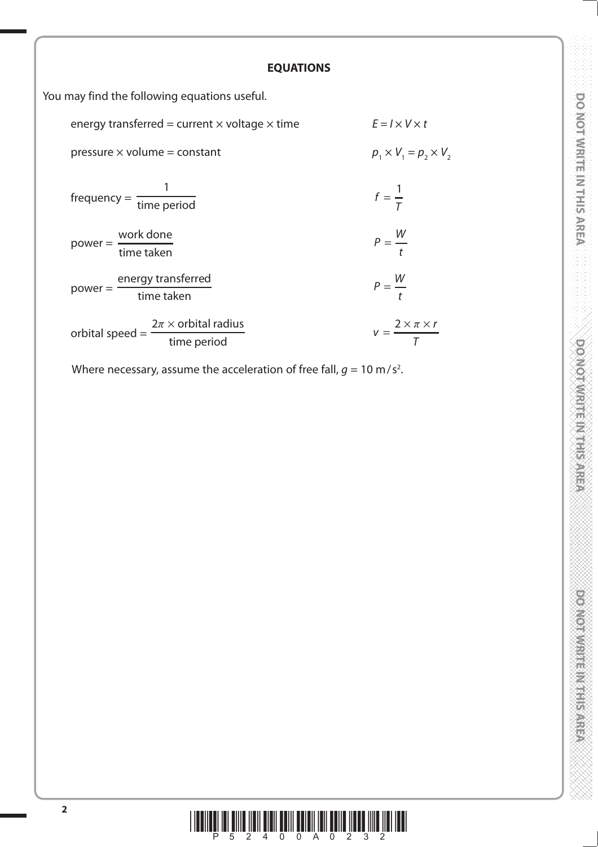|                                                                              | <b>EQUATIONS</b>                      |
|------------------------------------------------------------------------------|---------------------------------------|
| You may find the following equations useful.                                 |                                       |
| energy transferred = current $\times$ voltage $\times$ time                  | $E = I \times V \times t$             |
| pressure $\times$ volume = constant                                          | $p_1 \times V_1 = p_2 \times V_2$     |
| $frequency = \frac{1}{time period}$                                          | $f=\frac{1}{T}$                       |
| $power = \frac{work \, done}{time \, taken}$                                 | $P = \frac{W}{t}$                     |
| energy transferred<br>$power = \frac{1}{time taken}$                         | $P = \frac{W}{t}$                     |
| $2\pi \times$ orbital radius<br>orbital speed = $\frac{2\pi}{2}$ time period | $v = \frac{2 \times \pi \times r}{T}$ |

Where necessary, assume the acceleration of free fall,  $g = 10 \text{ m/s}^2$ .

**DO NOT WRITE IN THIS AREA DO NOT WRITE IN THIS AREA DO NOT WRITE IN THIS AREA DO NOT WRITE IN THIS AREA DO NOT WRITE IN THIS AREA DO NOT WRITE IN THIS AREA DO NOT WRITE IN THIS AREA DO NOT WRITE IN THIS AREA DO NOT WRITE** 

**DO NOTWATE IN THE REFER** 

**DOMORWRITE MITHSTERN** 

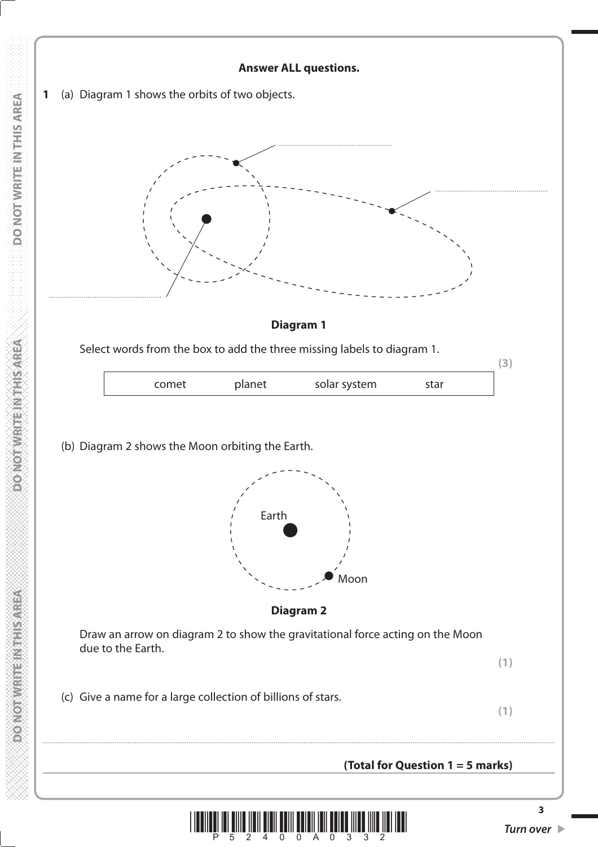

 $\frac{P}{5}$   $\frac{P}{2}$   $\frac{P}{4}$   $\frac{P}{0}$   $\frac{P}{0}$   $\frac{P}{0}$   $\frac{P}{0}$   $\frac{P}{3}$   $\frac{P}{3}$   $\frac{P}{2}$   $\frac{P}{1}$   $\frac{P}{1}$   $\frac{P}{1}$   $\frac{P}{1}$   $\frac{P}{1}$   $\frac{P}{2}$   $\frac{P}{2}$   $\frac{P}{2}$   $\frac{P}{2}$   $\frac{P}{2}$   $\frac{P}{2}$   $\frac{P}{2}$ 

*<u>RESIVERING IN SIMBONGO.</u>*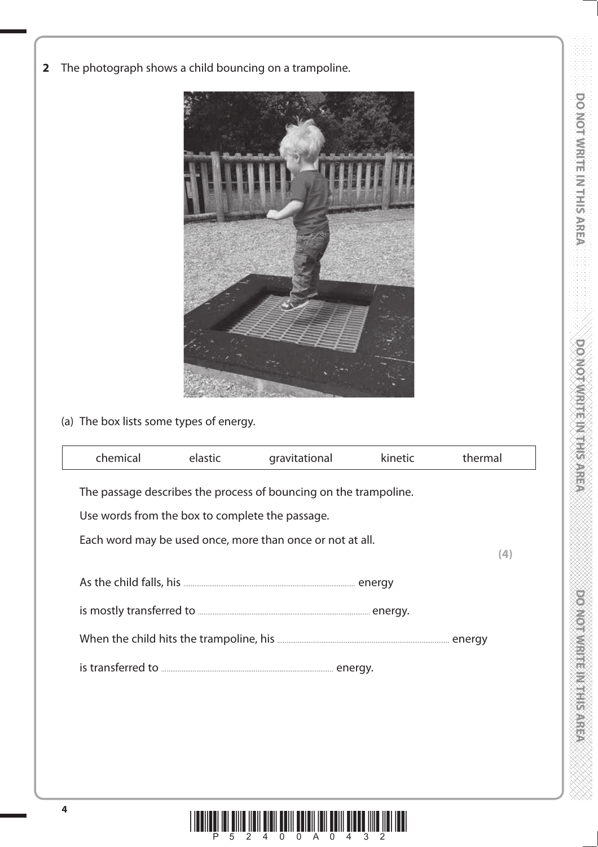**2** The photograph shows a child bouncing on a trampoline.



**DO NOT WRITE IN THIS AREA DO NOT WRITE IN THIS AREA DO NOT WRITE IN THIS AREA DO NOT WRITE IN THIS AREA DO NOT WRITE IN THIS AREA DO NOT WRITE IN THIS AREA DO NOT WRITE IN THIS AREA DO NOT WRITE IN THIS AREA DO NOT WRITE** 

**DOMOTAMENT INTERNATION** 

**DOOMOODWEERING STEEP** 

DO NOT WRITE IN THIS AREA

(a) The box lists some types of energy.

| chemical                                        | elastic | gravitational                                                    | kinetic | thermal |  |
|-------------------------------------------------|---------|------------------------------------------------------------------|---------|---------|--|
|                                                 |         | The passage describes the process of bouncing on the trampoline. |         |         |  |
| Use words from the box to complete the passage. |         |                                                                  |         |         |  |
|                                                 |         | Each word may be used once, more than once or not at all.        |         |         |  |
|                                                 |         |                                                                  |         |         |  |
|                                                 |         |                                                                  |         |         |  |
|                                                 |         |                                                                  |         |         |  |
|                                                 |         |                                                                  |         |         |  |
|                                                 |         |                                                                  |         |         |  |

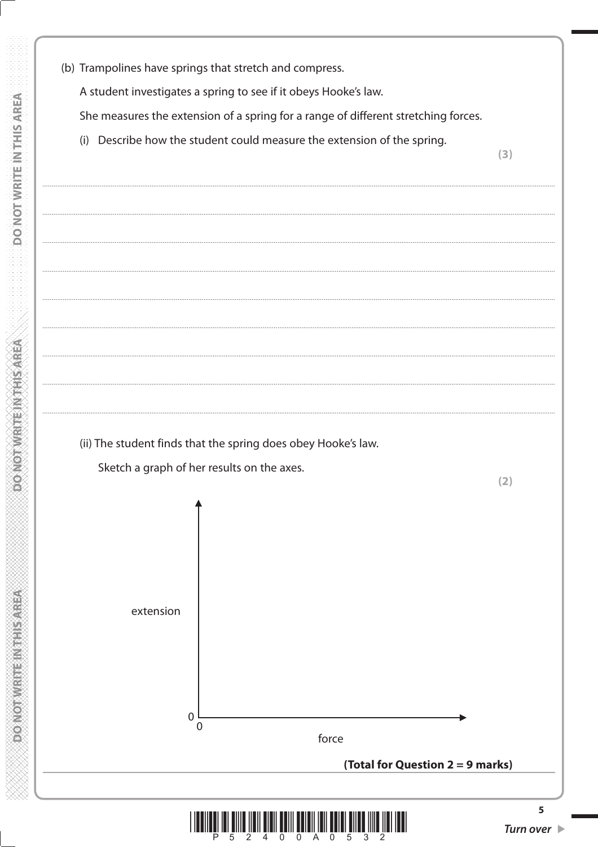| (b) Trampolines have springs that stretch and compress.                                                     |     |
|-------------------------------------------------------------------------------------------------------------|-----|
| A student investigates a spring to see if it obeys Hooke's law.                                             |     |
| She measures the extension of a spring for a range of different stretching forces.                          |     |
| (i) Describe how the student could measure the extension of the spring.                                     | (3) |
|                                                                                                             |     |
|                                                                                                             |     |
|                                                                                                             |     |
|                                                                                                             |     |
|                                                                                                             |     |
|                                                                                                             |     |
|                                                                                                             |     |
|                                                                                                             |     |
|                                                                                                             |     |
|                                                                                                             |     |
| (ii) The student finds that the spring does obey Hooke's law.<br>Sketch a graph of her results on the axes. | 21  |
|                                                                                                             |     |
| extension                                                                                                   |     |
|                                                                                                             |     |
| $\overline{0}$<br>$\mathbf 0$                                                                               |     |
| force<br>(Total for Question 2 = 9 marks)                                                                   |     |

**DO NOT WRITE IN THIS AREA** 

**DO NOT WRITE IN THIS AREA** 

**ABO NOTIVE TE INTERNETA**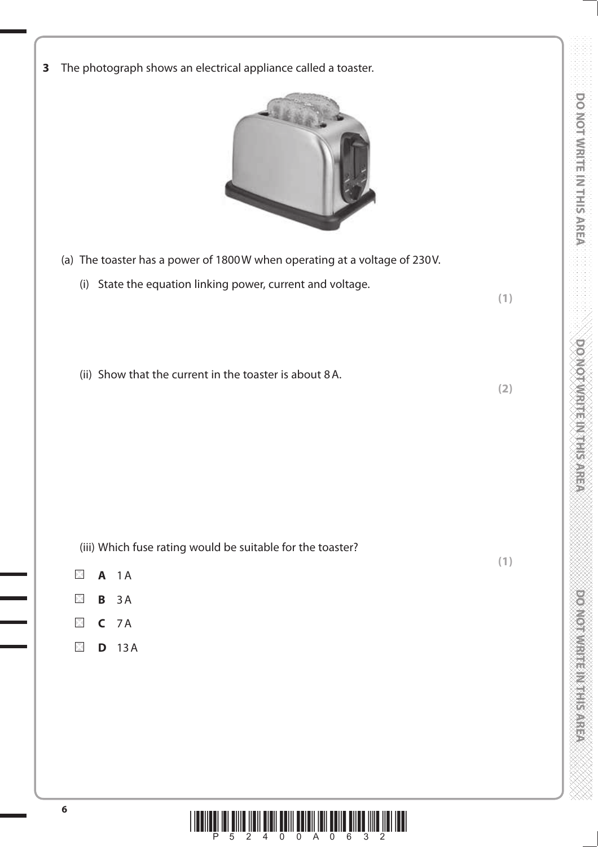**DO NOT WRITE IN THIS AREA DO NOT WRITE IN THIS AREA DO NOT WRITE IN THIS AREA DO NOT WRITE IN THIS AREA DO NOT WRITE IN THIS AREA DO NOT WRITE IN THIS AREA DO NOT WRITE IN THIS AREA DO NOT WRITE IN THIS AREA DO NOT WRITE** DO NOT WRITE IN THIS AREA **(1) DOMOTWRITEINTHISAREA (2) (1)** DOMOTWRITE METERS AREA



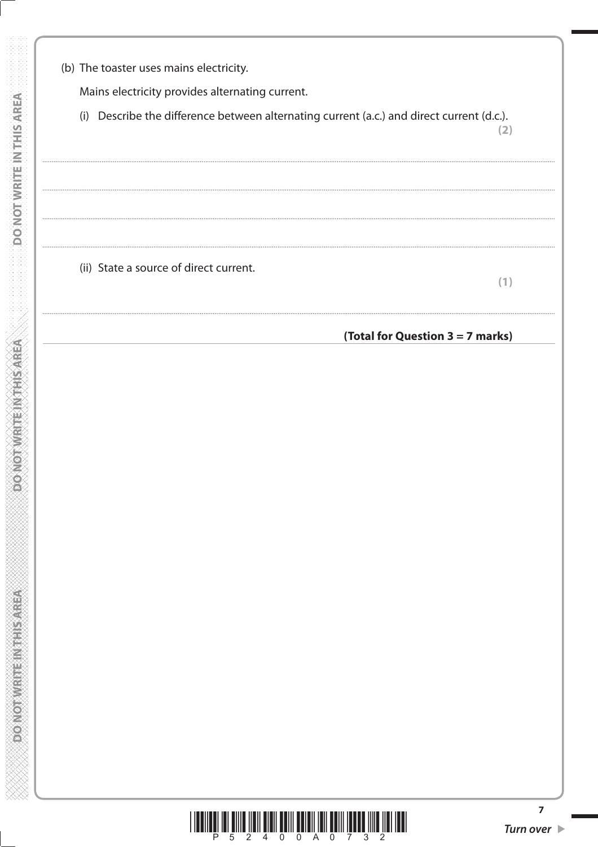| Mains electricity provides alternating current. |                                                                                                  |
|-------------------------------------------------|--------------------------------------------------------------------------------------------------|
|                                                 | (i) Describe the difference between alternating current (a.c.) and direct current (d.c.).<br>(2) |
|                                                 |                                                                                                  |
| (ii) State a source of direct current.          | (1)                                                                                              |
|                                                 | (Total for Question 3 = 7 marks)                                                                 |
|                                                 |                                                                                                  |
|                                                 |                                                                                                  |
|                                                 |                                                                                                  |
|                                                 |                                                                                                  |

**DO NOT WRITE IN THIS AREA** 

**DO NOT WRITE IN THIS AREA** 

**POINOT WRITE INTHISAREA** 



 $\overline{z}$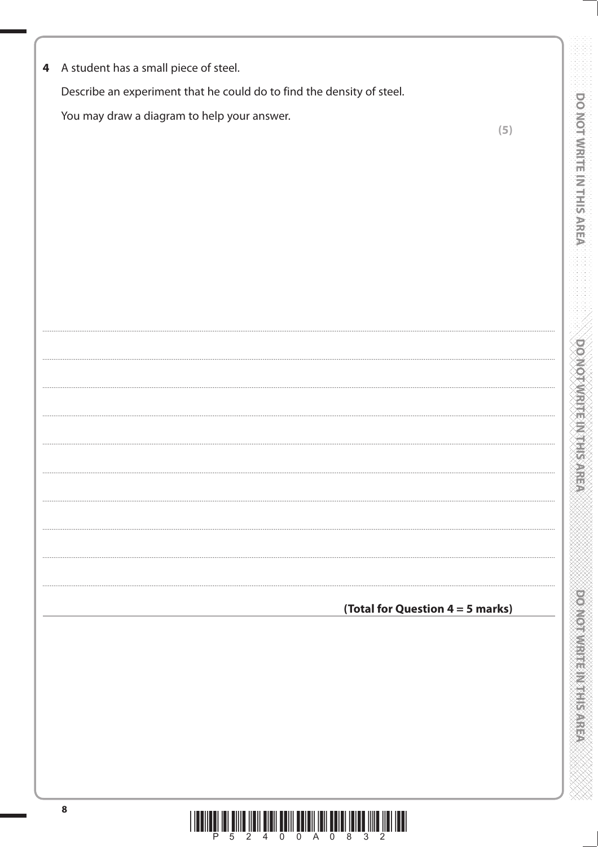| A student has a small piece of steel.<br>4<br>Describe an experiment that he could do to find the density of steel.<br>You may draw a diagram to help your answer. | (5)                                       |
|--------------------------------------------------------------------------------------------------------------------------------------------------------------------|-------------------------------------------|
|                                                                                                                                                                    | <b>DOI WRITE IN THIS AREA</b>             |
|                                                                                                                                                                    | <b>DOMOVININE IN A FIRST RESERVE</b>      |
|                                                                                                                                                                    |                                           |
| (Total for Question 4 = 5 marks)                                                                                                                                   | <b>POSTORIAL PROPERTY AND INCOMEDIATE</b> |
|                                                                                                                                                                    |                                           |

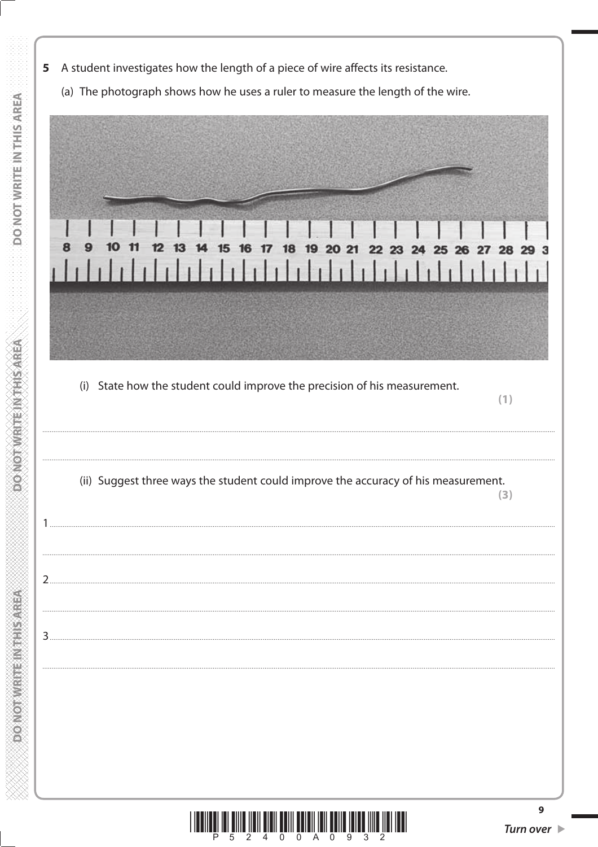- A student investigates how the length of a piece of wire affects its resistance. 5
	- (a) The photograph shows how he uses a ruler to measure the length of the wire.



5 2 4 0 0 A 0 9

 $\overline{\mathbf{3}}$ 

Turn over  $\blacktriangleright$ 

**PONOTWRITEINTHISAREA** 

**ACCEPTED IN EARLY AGO NOTE**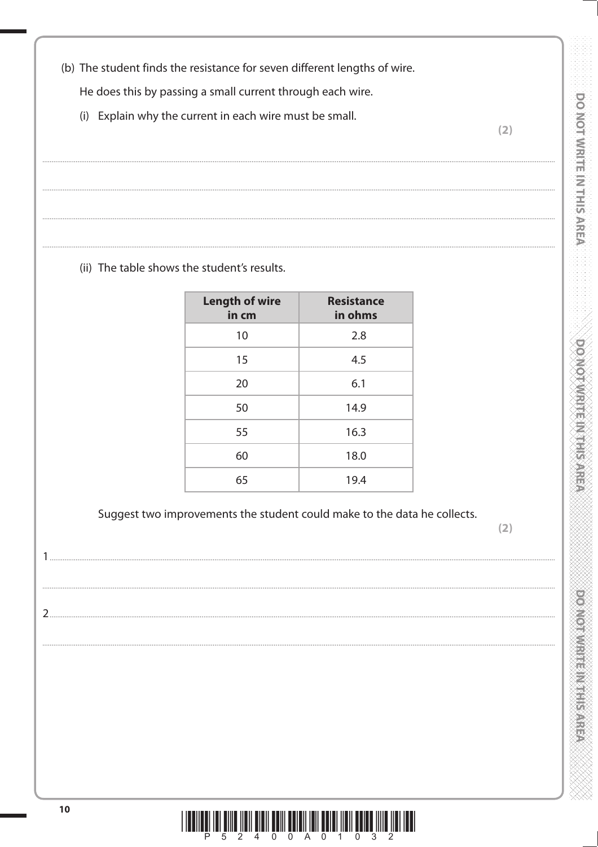He does this by passing a small current through each wire.

(i) Explain why the current in each wire must be small.

 $(2)$ 

**DO NOT WRITE IN THIS AREA** 

**DOMOT/WRITE/M1THIS/AREA** 

**DONORMRITE MITHS ARE?** 

(ii) The table shows the student's results.

| <b>Length of wire</b><br>in cm | <b>Resistance</b><br>in ohms |
|--------------------------------|------------------------------|
| 10                             | 2.8                          |
| 15                             | 4.5                          |
| 20                             | 6.1                          |
| 50                             | 14.9                         |
| 55                             | 16.3                         |
| 60                             | 18.0                         |
| 65                             | 19.4                         |

Suggest two improvements the student could make to the data he collects.

 $\frac{1}{2}$ 

<u>i III ÎNII ÎNII ÎNII ÊNII ÛNII ÎNII ÎNII ÎNII ÎNII ÎNII ÎNI ÎNII </u>

 $2 \left( \frac{1}{2} \right)$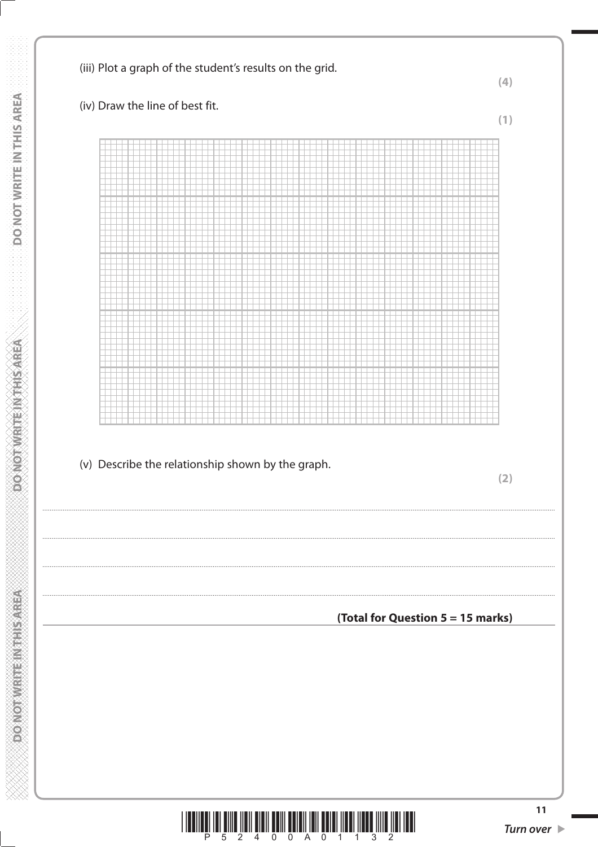

**DO NOT WRITE IN THIS AREA** 

**DONOT WRITE IN THIS AREA**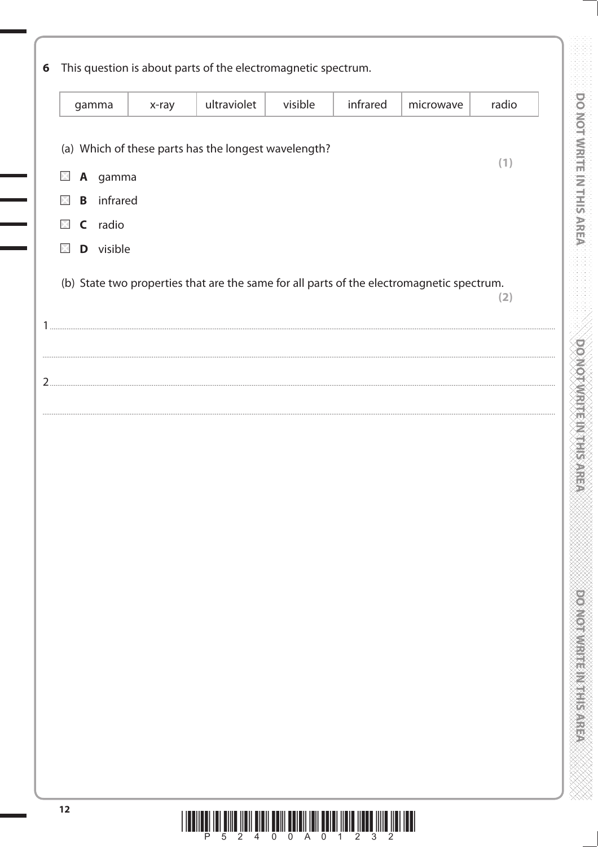| 6 |                         |                             |       |                                                      | This question is about parts of the electromagnetic spectrum.                             |          |           |       |
|---|-------------------------|-----------------------------|-------|------------------------------------------------------|-------------------------------------------------------------------------------------------|----------|-----------|-------|
|   |                         | gamma                       | x-ray | ultraviolet                                          | visible                                                                                   | infrared | microwave | radio |
|   |                         |                             |       | (a) Which of these parts has the longest wavelength? |                                                                                           |          |           | (1)   |
|   | $\times$                | A gamma                     |       |                                                      |                                                                                           |          |           |       |
|   | $\times$<br>$\pmb B$    | infrared                    |       |                                                      |                                                                                           |          |           |       |
|   | $\boxtimes$<br>$\times$ | C radio<br><b>D</b> visible |       |                                                      |                                                                                           |          |           |       |
|   |                         |                             |       |                                                      |                                                                                           |          |           |       |
|   |                         |                             |       |                                                      | (b) State two properties that are the same for all parts of the electromagnetic spectrum. |          |           | (2)   |
| 1 |                         |                             |       |                                                      |                                                                                           |          |           |       |
|   |                         |                             |       |                                                      |                                                                                           |          |           |       |
| 2 |                         |                             |       |                                                      |                                                                                           |          |           |       |
|   |                         |                             |       |                                                      |                                                                                           |          |           |       |
|   |                         |                             |       |                                                      |                                                                                           |          |           |       |
|   |                         |                             |       |                                                      |                                                                                           |          |           |       |
|   |                         |                             |       |                                                      |                                                                                           |          |           |       |
|   |                         |                             |       |                                                      |                                                                                           |          |           |       |
|   |                         |                             |       |                                                      |                                                                                           |          |           |       |
|   |                         |                             |       |                                                      |                                                                                           |          |           |       |
|   |                         |                             |       |                                                      |                                                                                           |          |           |       |
|   |                         |                             |       |                                                      |                                                                                           |          |           |       |
|   |                         |                             |       |                                                      |                                                                                           |          |           |       |
|   |                         |                             |       |                                                      |                                                                                           |          |           |       |
|   |                         |                             |       |                                                      |                                                                                           |          |           |       |
|   |                         |                             |       |                                                      |                                                                                           |          |           |       |



**DOMOTIVE INTERNATIONAL**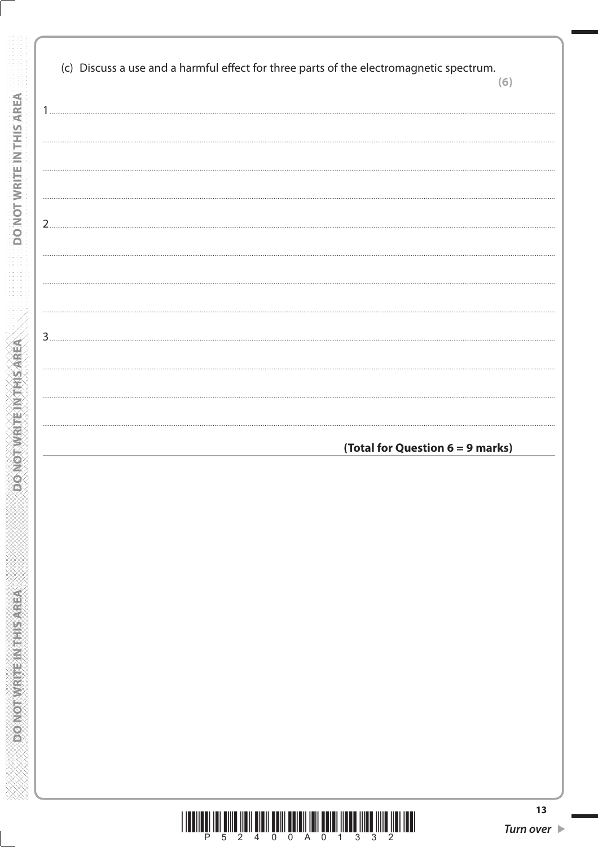|                               | (c) Discuss a use and a harmful effect for three parts of the electromagnetic spectrum. | (6) |
|-------------------------------|-----------------------------------------------------------------------------------------|-----|
| DO NOT WRITE IN THIS AREA     |                                                                                         |     |
|                               |                                                                                         |     |
|                               |                                                                                         |     |
|                               |                                                                                         |     |
|                               |                                                                                         |     |
|                               |                                                                                         |     |
| <b>ACTIVITY IN EARLY AND</b>  | (Total for Question 6 = 9 marks)                                                        |     |
|                               |                                                                                         |     |
|                               |                                                                                         |     |
|                               |                                                                                         |     |
|                               |                                                                                         |     |
| <b>DOMOTIVE HEART CONCORD</b> |                                                                                         |     |
|                               |                                                                                         |     |
|                               |                                                                                         |     |

 $\begin{array}{c} \text{||llm||}\ \text{||llm||}\ \text{||llm||}\ \text{||llm||}\ \text{||llm||}\ \text{||llm||}\ \text{||llm||}\ \text{||llm||}\ \text{||llm||}\ \text{||llm||}\ \text{||llm||}\ \text{||llm||}\ \text{||llm||}\ \text{||llm||}\ \text{||llm||}\ \text{||llm||}\ \text{||llm||}\ \text{||llm||}\ \text{||llm||}\ \text{||llm||}\ \text{||llm||}\ \text{||llm||}\ \text{||llm||}\ \text{||llm||}\ \text{||llm||}\ \text{||llm||}\ \text{||ll$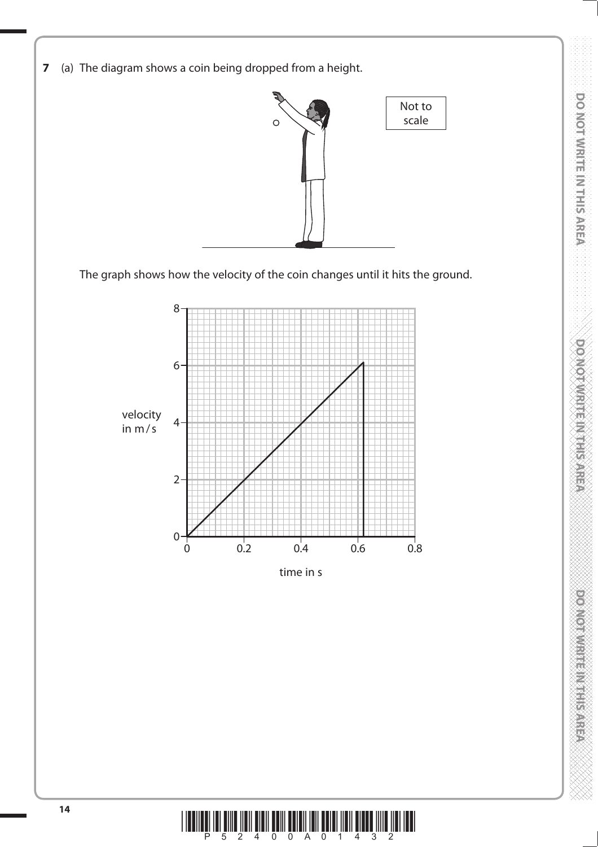**7** (a) The diagram shows a coin being dropped from a height. Not to scale  $\circ$  The graph shows how the velocity of the coin changes until it hits the ground. 8 6 velocity 4 in  $m/s$ 2

**DO NOT WRITE IN THIS AREA DO NOT WRITE IN THIS AREA DO NOT WRITE IN THIS AREA DO NOT WRITE IN THIS AREA DO NOT WRITE IN THIS AREA DO NOT WRITE IN THIS AREA DO NOT WRITE IN THIS AREA DO NOT WRITE IN THIS AREA DO NOT WRITE** 

**DOMOTIVISING HISTORICA** 

**DOMOROUS ENTERTAINMENT** 

DO NOT WRITE IN THIS AREA



0 0.2 0.4 0.6 0.8

time in s

0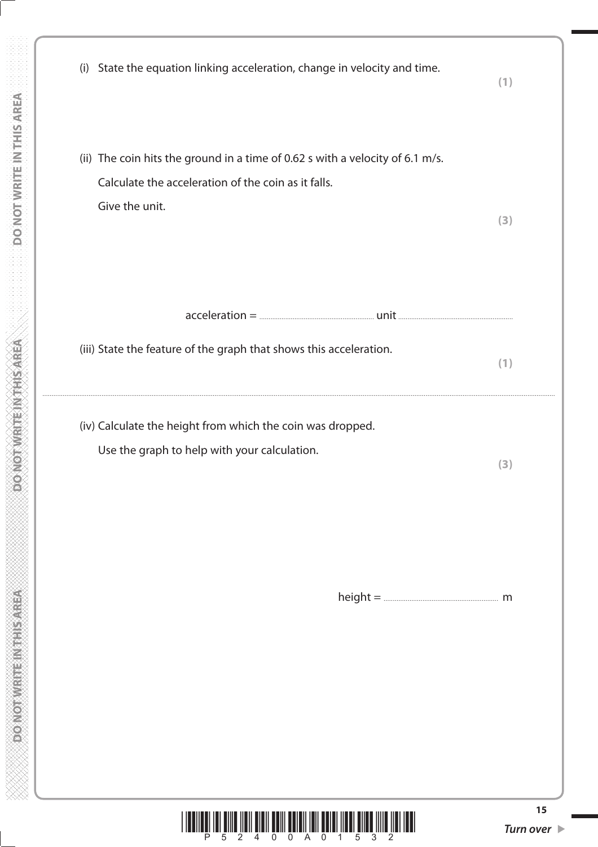(i) State the equation linking acceleration, change in velocity and time. **(1)** (ii) The coin hits the ground in a time of 0.62 s with a velocity of 6.1 m/s. Calculate the acceleration of the coin as it falls. Give the unit. **(3)** acceleration = .............................................................. unit .............................................................. (iii) State the feature of the graph that shows this acceleration. **(1)** ..................................................................................................................................................................................................................................................................................... (iv) Calculate the height from which the coin was dropped. Use the graph to help with your calculation. **(3)** height = .............................................................. m

 **DO NOT WRITE IN THIS AREA DO NOT WRITE IN THIS AREA DO NOT WRITE IN THIS AREA DO NOT WRITE IN THIS AREA DO NOT** 

**MONOTHER REPAIRING CONFORM** 

**DONOTWRITEINTHISAREA** 

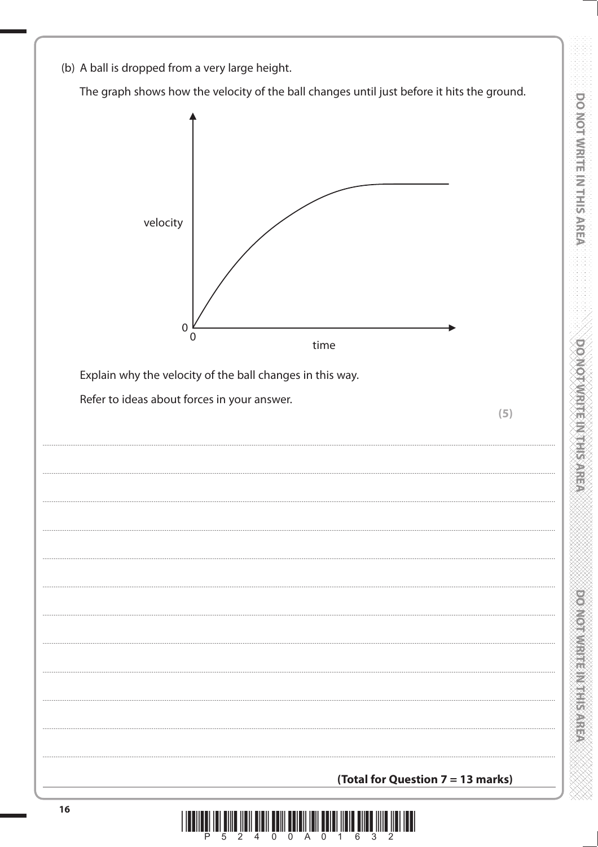**POSTORIAL PROPERTY AND STATE** 

The graph shows how the velocity of the ball changes until just before it hits the ground.



-6

3

.5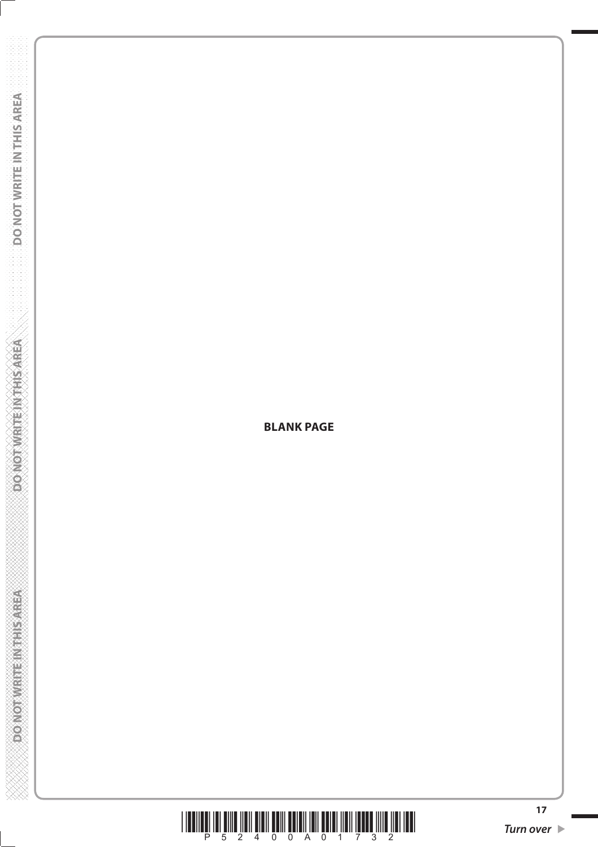

**<sup>17</sup>** \*P52400A01732\* *Turn over* 

**BLANK PAGE**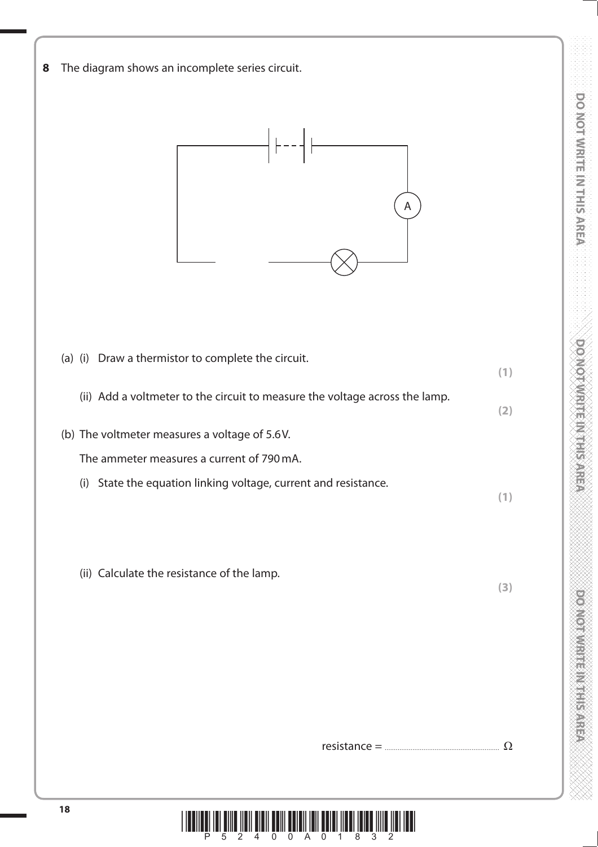

**DO NOT WRITE IN THIS AREA DO NOT WRITE IN THIS AREA DO NOT WRITE IN THIS AREA DO NOT WRITE IN THIS AREA DO NOT WRITE IN THIS AREA DO NOT WRITE IN THIS AREA DO NOT WRITE IN THIS AREA DO NOT WRITE IN THIS AREA DO NOT WRITE** 

**DOMOTWRITE IN THIS AREA** 

**DOWNTHEINTHISAREA** 

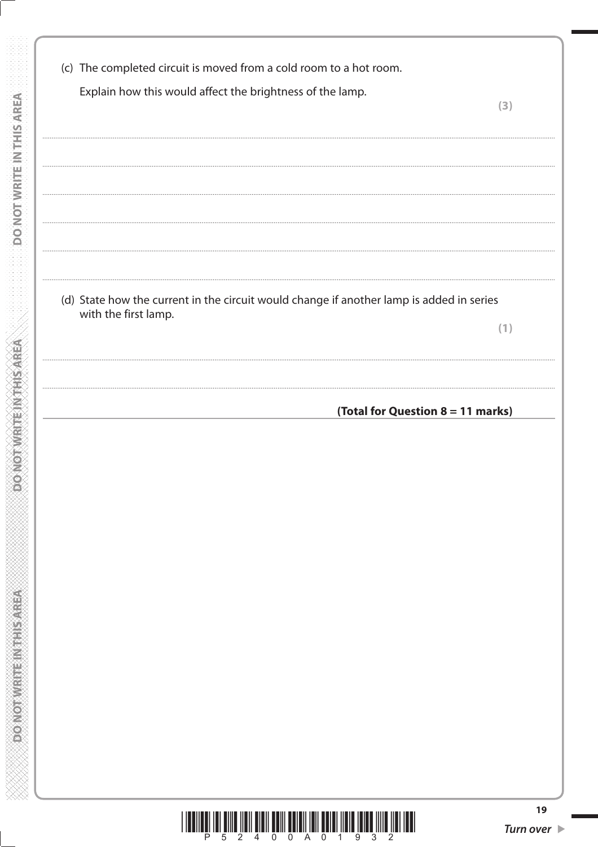| Explain how this would affect the brightness of the lamp.                                |  | (3)                               |
|------------------------------------------------------------------------------------------|--|-----------------------------------|
|                                                                                          |  |                                   |
|                                                                                          |  |                                   |
|                                                                                          |  |                                   |
|                                                                                          |  |                                   |
|                                                                                          |  |                                   |
| (d) State how the current in the circuit would change if another lamp is added in series |  |                                   |
| with the first lamp.                                                                     |  | (1)                               |
|                                                                                          |  |                                   |
|                                                                                          |  | (Total for Question 8 = 11 marks) |
|                                                                                          |  |                                   |
|                                                                                          |  |                                   |
|                                                                                          |  |                                   |
|                                                                                          |  |                                   |
|                                                                                          |  |                                   |
|                                                                                          |  |                                   |
|                                                                                          |  |                                   |
|                                                                                          |  |                                   |
|                                                                                          |  |                                   |
|                                                                                          |  |                                   |
|                                                                                          |  |                                   |
|                                                                                          |  |                                   |
|                                                                                          |  |                                   |

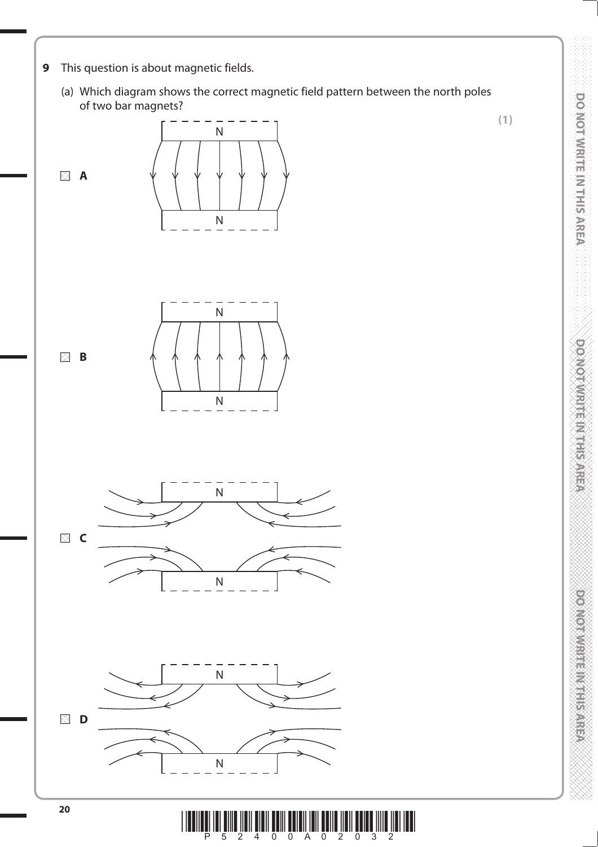

 (a) Which diagram shows the correct magnetic field pattern between the north poles of two bar magnets?



**20**  $\left|\frac{1}{2}\right|\left|\frac{1}{2}\right|\left|\frac{1}{2}\right|\left|\frac{1}{4}\right|\left|\frac{1}{2}\right|\left|\frac{1}{2}\right|\left|\frac{1}{2}\right|\left|\frac{1}{2}\right|\left|\frac{1}{2}\right|\left|\frac{1}{2}\right|\left|\frac{1}{2}\right|\left|\frac{1}{2}\right|\left|\frac{1}{2}\right|\left|\frac{1}{2}\right|\left|\frac{1}{2}\right|\left|\frac{1}{2}\right|\left|\frac{1}{2}\right|\left|\frac{1}{2}\right|\left|\frac{1}{2}\right|\left|\frac{1}{2}\right|\left|\frac{1}{2}\right|\left|\frac{$ 

**(1)**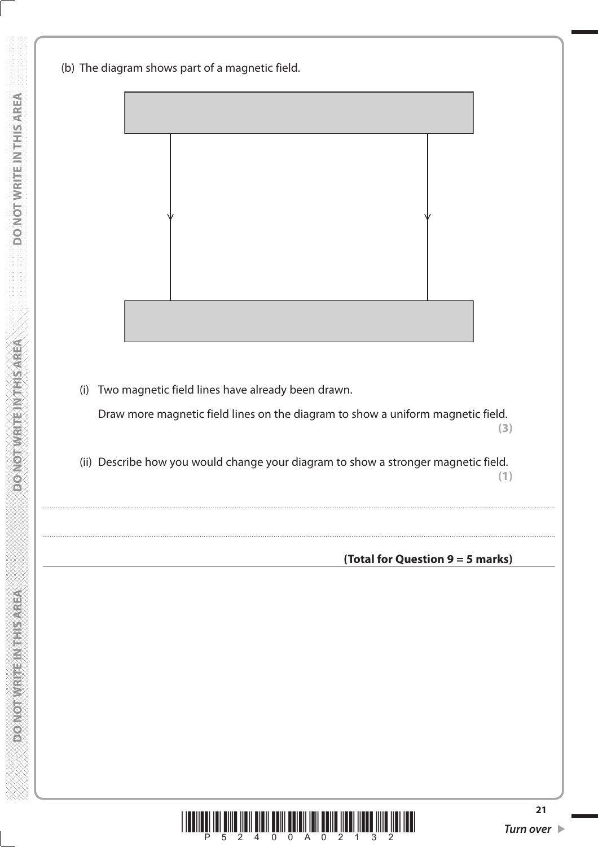(b) The diagram shows part of a magnetic field.



(i) Two magnetic field lines have already been drawn.

 **DO NOT WRITE IN THIS AREA DO NOT WRITE IN THIS AREA DO NOT WRITE IN THIS AREA DO NOT WRITE IN THIS AREA DO NOT** 

**MONOTHUR REGISTER** 

**DONOT WRITEIN THIS AREA** 

**DO NOT WRITE IN THIS AREA** 

 Draw more magnetic field lines on the diagram to show a uniform magnetic field. **(3)**

(ii) Describe how you would change your diagram to show a stronger magnetic field.

.....................................................................................................................................................................................................................................................................................

.....................................................................................................................................................................................................................................................................................

**(1)**

**(Total for Question 9 = 5 marks)**

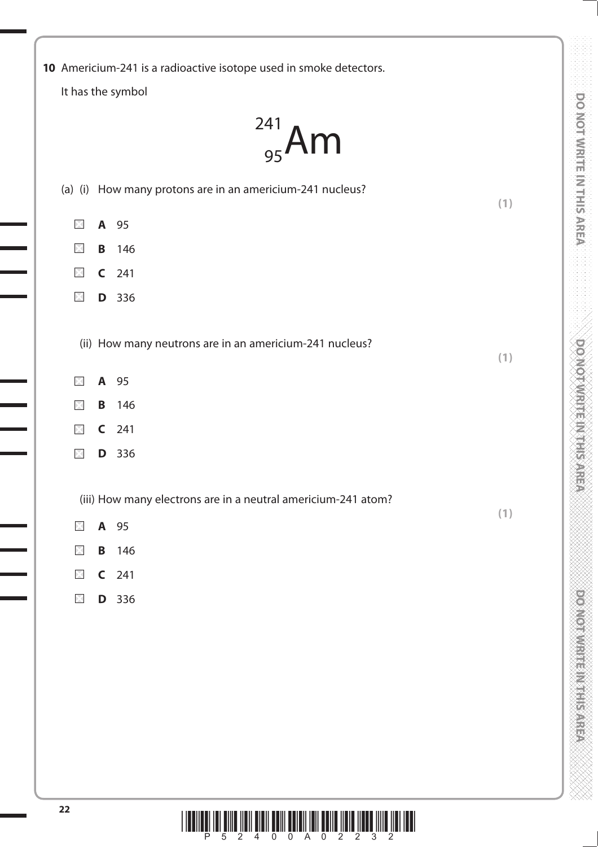|              | 10 Americium-241 is a radioactive isotope used in smoke detectors. |     |
|--------------|--------------------------------------------------------------------|-----|
|              | It has the symbol                                                  |     |
|              | $\int_{95}^{241}$ Am                                               |     |
|              | (a) (i) How many protons are in an americium-241 nucleus?          | (1) |
| $\boxtimes$  | A 95                                                               |     |
| $\times$     | <b>B</b> 146                                                       |     |
| $\times$     | $C$ 241                                                            |     |
| $\times$     | D 336                                                              |     |
|              | (ii) How many neutrons are in an americium-241 nucleus?            | (1) |
| $\times$     | A 95                                                               |     |
| $\times$     | <b>B</b> 146                                                       |     |
| $\times$     | $C$ 241                                                            |     |
| $\boxtimes$  | D 336                                                              |     |
|              | (iii) How many electrons are in a neutral americium-241 atom?      |     |
| $\times$     | A 95                                                               | (1) |
| $\times$     | <b>B</b> 146                                                       |     |
| $\mathbb{X}$ | $C$ 241                                                            |     |
| $\times$     | D 336                                                              |     |
|              |                                                                    |     |
|              |                                                                    |     |
|              |                                                                    |     |
|              |                                                                    |     |
|              |                                                                    |     |
|              |                                                                    |     |
|              |                                                                    |     |

**DO NOT WRITE IN THIS AREA DO NOT WRITE IN THIS AREA DO NOT WRITE IN THIS AREA DO NOT WRITE IN THIS AREA DO NOT WRITE IN THIS AREA DO NOT WRITE IN THIS AREA DO NOT WRITE IN THIS AREA DO NOT WRITE IN THIS AREA DO NOT WRITE** 

**DOMOTWRITEININGSARE** 

DOMORANT ITS NEWSFIRMS

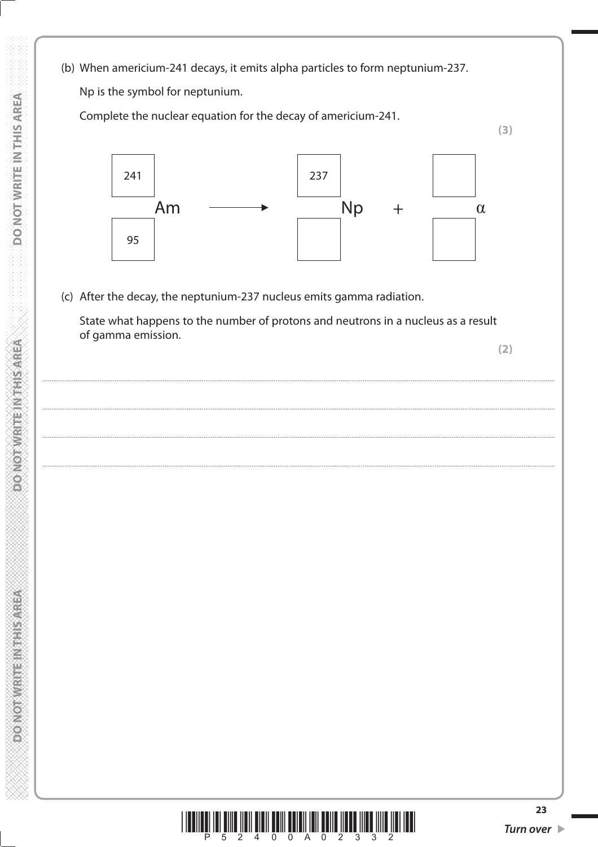(b) When americium-241 decays, it emits alpha particles to form neptunium-237.

Np is the symbol for neptunium.

**DO NOT WRITE IN THIS AREA** 

**DOMOTAWRITE INTHISTAREA** 

**MERINE I PRINTED MANAGEMENT CONFORT** 

Complete the nuclear equation for the decay of americium-241.



(c) After the decay, the neptunium-237 nucleus emits gamma radiation.

State what happens to the number of protons and neutrons in a nucleus as a result of gamma emission.

 $(3)$ 



 $23$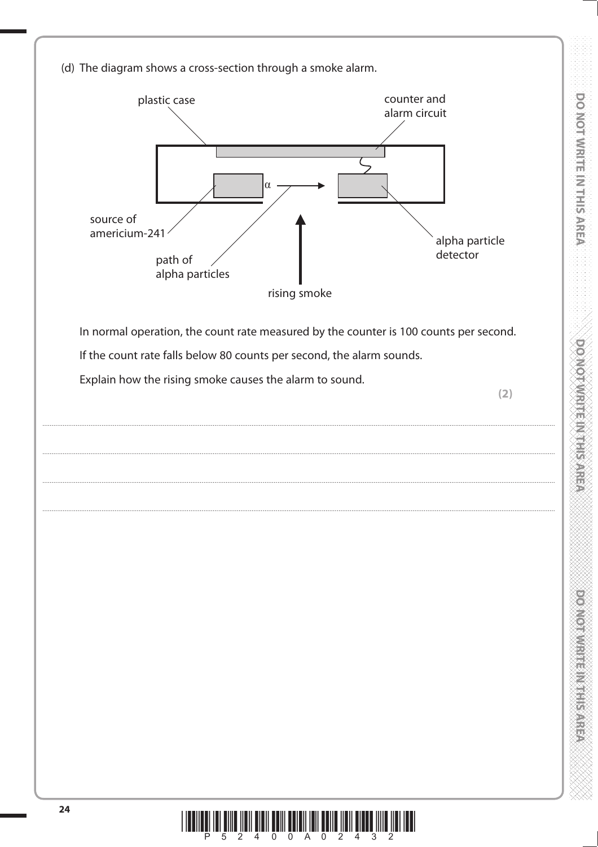

**DOWNING MILLIONS**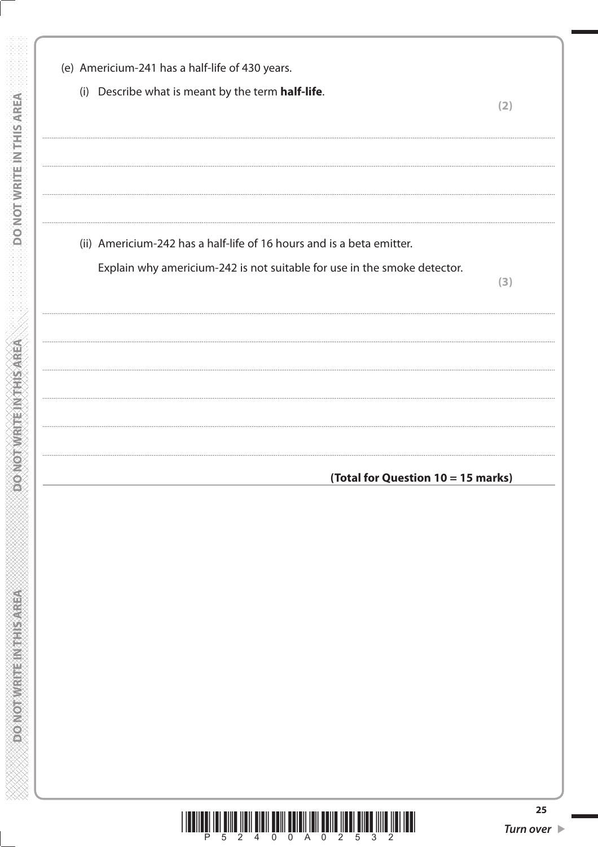| (e) Americium-241 has a half-life of 430 years. |                                                                          |     |
|-------------------------------------------------|--------------------------------------------------------------------------|-----|
|                                                 | (i) Describe what is meant by the term half-life.                        | (2) |
|                                                 | (ii) Americium-242 has a half-life of 16 hours and is a beta emitter.    |     |
|                                                 | Explain why americium-242 is not suitable for use in the smoke detector. | (3) |
|                                                 |                                                                          |     |
|                                                 |                                                                          |     |
|                                                 |                                                                          |     |
|                                                 | (Total for Question 10 = 15 marks)                                       |     |
|                                                 |                                                                          |     |
|                                                 |                                                                          |     |
|                                                 |                                                                          |     |
|                                                 |                                                                          |     |

![](_page_24_Picture_1.jpeg)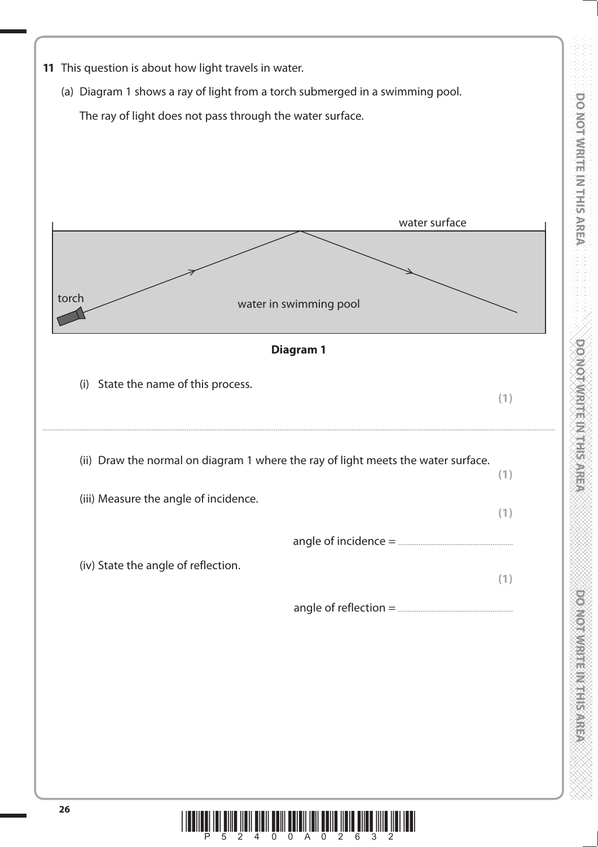![](_page_25_Figure_0.jpeg)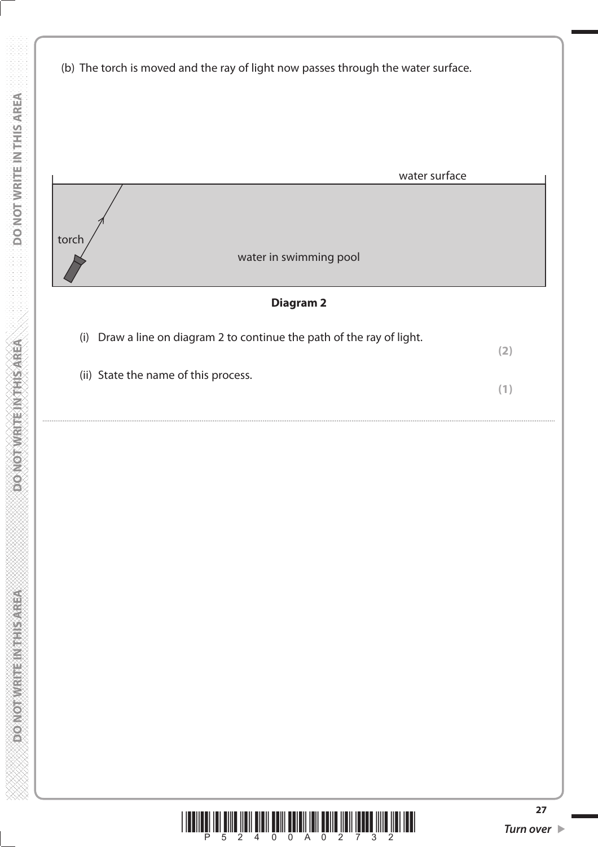![](_page_26_Figure_0.jpeg)

 **DO NOT WRITE IN THIS AREA DO NOT WRITE IN THIS AREA DO NOT WRITE IN THIS AREA DO NOT WRITE IN THIS AREA DO NOT**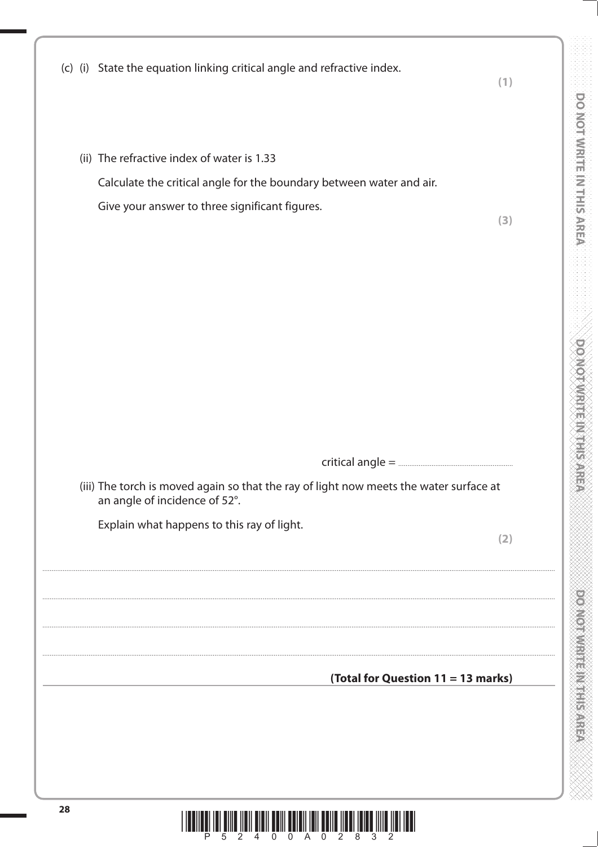| (c) (i) State the equation linking critical angle and refractive index.                                                 |     |
|-------------------------------------------------------------------------------------------------------------------------|-----|
|                                                                                                                         | (1) |
|                                                                                                                         |     |
| (ii) The refractive index of water is 1.33                                                                              |     |
| Calculate the critical angle for the boundary between water and air.                                                    |     |
| Give your answer to three significant figures.                                                                          | (3) |
|                                                                                                                         |     |
|                                                                                                                         |     |
|                                                                                                                         |     |
|                                                                                                                         |     |
|                                                                                                                         |     |
|                                                                                                                         |     |
|                                                                                                                         |     |
|                                                                                                                         |     |
|                                                                                                                         |     |
|                                                                                                                         |     |
| (iii) The torch is moved again so that the ray of light now meets the water surface at<br>an angle of incidence of 52°. |     |
| Explain what happens to this ray of light.                                                                              |     |
|                                                                                                                         | (2) |
|                                                                                                                         |     |
|                                                                                                                         |     |
|                                                                                                                         |     |
| (Total for Question 11 = 13 marks)                                                                                      |     |
|                                                                                                                         |     |
|                                                                                                                         |     |
|                                                                                                                         |     |
|                                                                                                                         |     |

**DOMOTIVE IN THE AREA** 

XXXXX

1000 pm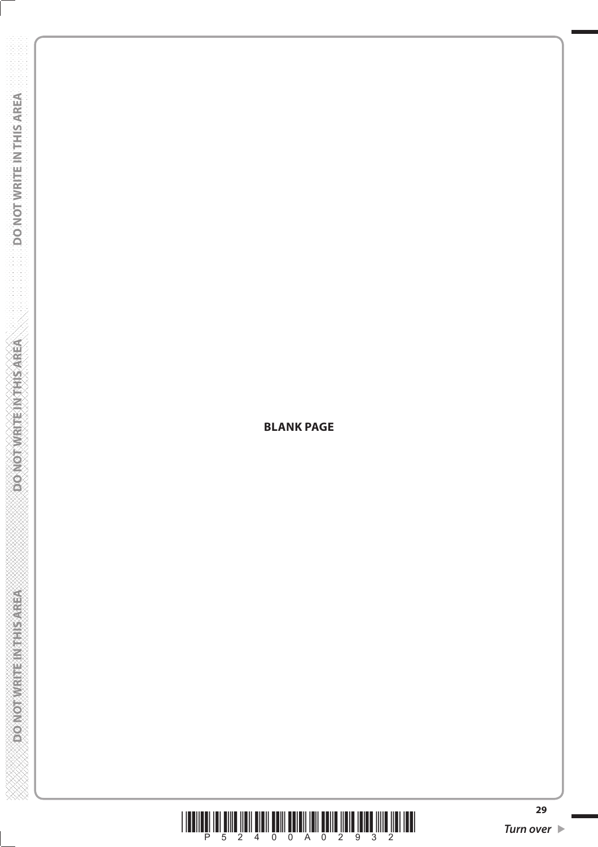![](_page_28_Picture_0.jpeg)

 $\frac{29}{5}$  *Turn over*  $\rightarrow$ 

**BLANK PAGE**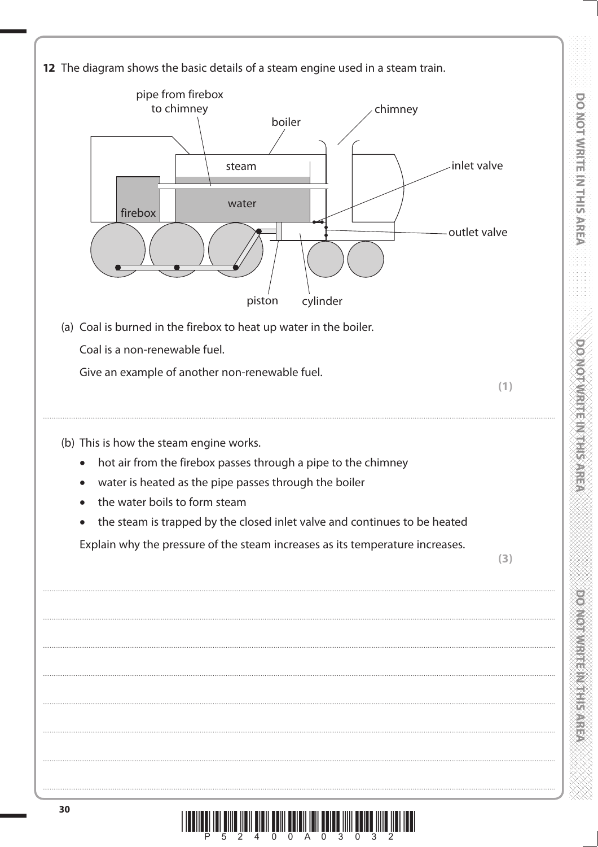![](_page_29_Figure_0.jpeg)

**DO NOT WRITE IN THIS AREA** 

**DOMOTIVIRIE INTHESTER** 

**PONOMIAL IS NOT THE REAL PROPERTY** 

n <sup>2</sup>illi <sup>7</sup>ini <sup>4</sup>ini <sup>2</sup>ini 2illi <sup>2</sup>ini <sup>7</sup>illi <sup>2</sup>illi <sup>2</sup>illi <sup>2</sup>illi <sup>7</sup>illi 7ill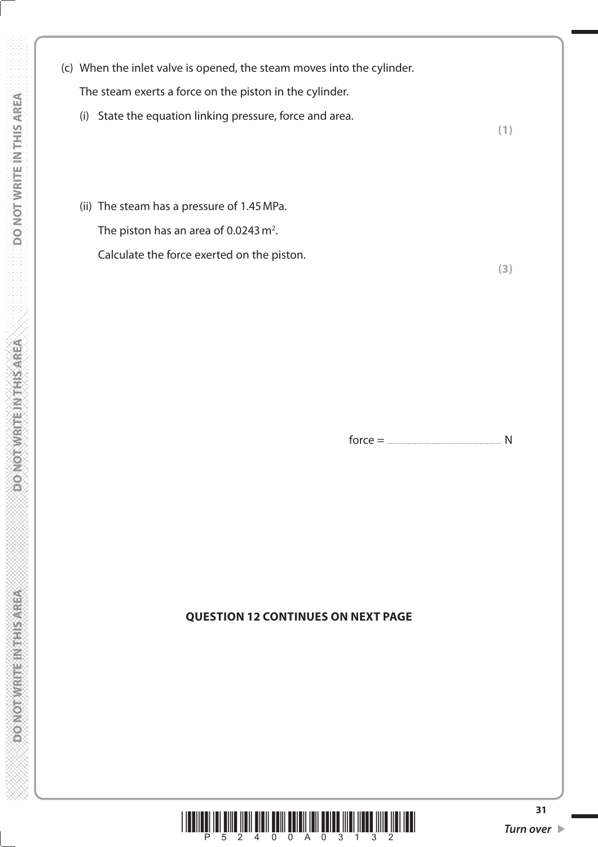- (c) When the inlet valve is opened, the steam moves into the cylinder. The steam exerts a force on the piston in the cylinder.
	- (i) State the equation linking pressure, force and area.
	- (ii) The steam has a pressure of 1.45 MPa. The piston has an area of 0.0243 $m^2$ . Calculate the force exerted on the piston.

**(3)**

**(1)**

force = .............................................................. N

## **QUESTION 12 CONTINUES ON NEXT PAGE**

![](_page_30_Picture_6.jpeg)

**MONOTHER REPAIRING CONFORM**